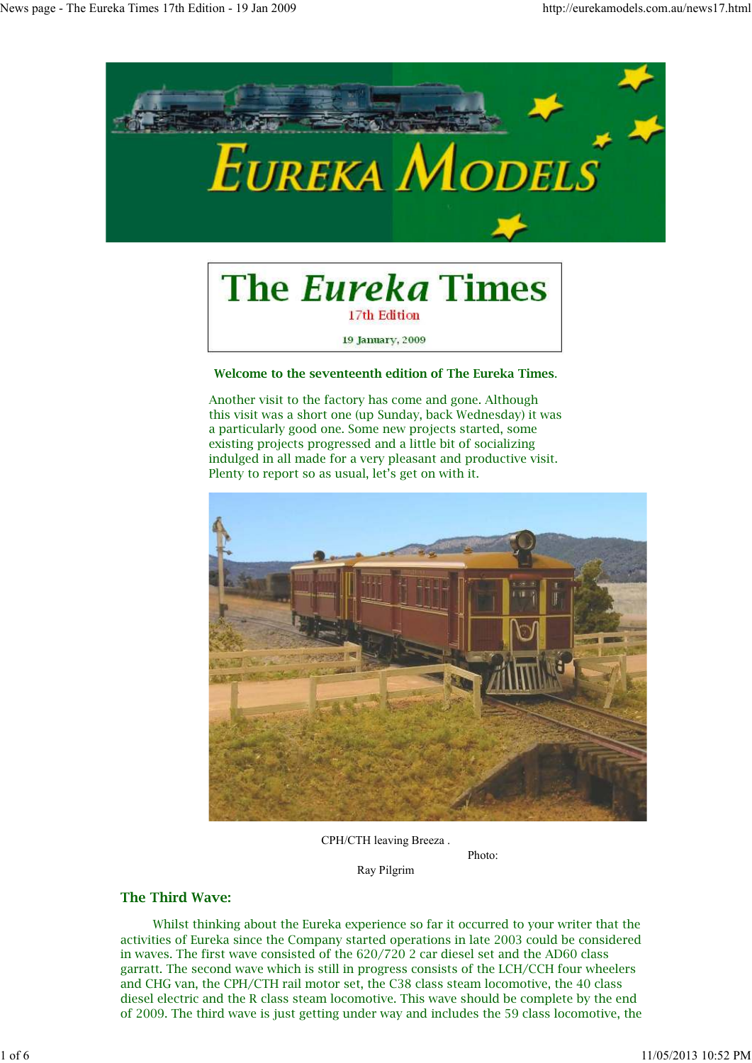

# **The Eureka Times** 17th Edition

19 January, 2009

## **Welcome to the seventeenth edition of The Eureka Times**.

Another visit to the factory has come and gone. Although this visit was a short one (up Sunday, back Wednesday) it was a particularly good one. Some new projects started, some existing projects progressed and a little bit of socializing indulged in all made for a very pleasant and productive visit. Plenty to report so as usual, let's get on with it.



Photo:

CPH/CTH leaving Breeza .

Ray Pilgrim

# **The Third Wave:**

 Whilst thinking about the Eureka experience so far it occurred to your writer that the activities of Eureka since the Company started operations in late 2003 could be considered in waves. The first wave consisted of the 620/720 2 car diesel set and the AD60 class garratt. The second wave which is still in progress consists of the LCH/CCH four wheelers and CHG van, the CPH/CTH rail motor set, the C38 class steam locomotive, the 40 class diesel electric and the R class steam locomotive. This wave should be complete by the end of 2009. The third wave is just getting under way and includes the 59 class locomotive, the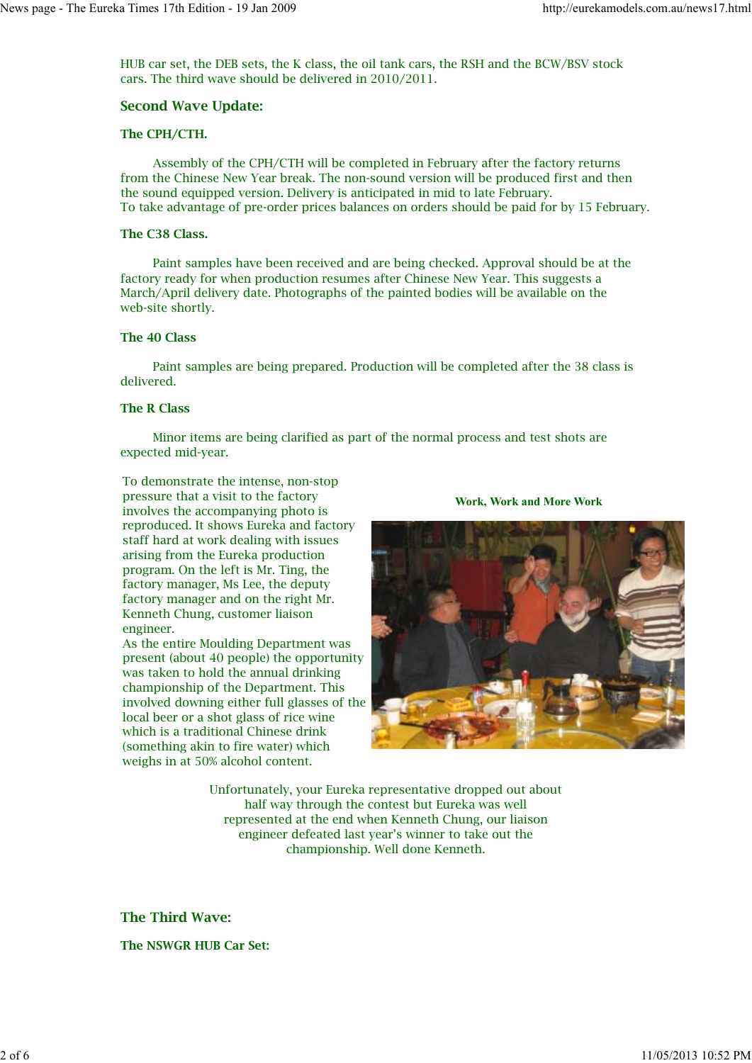HUB car set, the DEB sets, the K class, the oil tank cars, the RSH and the BCW/BSV stock cars. The third wave should be delivered in 2010/2011.

## **Second Wave Update:**

## **The CPH/CTH.**

 Assembly of the CPH/CTH will be completed in February after the factory returns from the Chinese New Year break. The non-sound version will be produced first and then the sound equipped version. Delivery is anticipated in mid to late February. To take advantage of pre-order prices balances on orders should be paid for by 15 February.

## **The C38 Class.**

 Paint samples have been received and are being checked. Approval should be at the factory ready for when production resumes after Chinese New Year. This suggests a March/April delivery date. Photographs of the painted bodies will be available on the web-site shortly.

## **The 40 Class**

 Paint samples are being prepared. Production will be completed after the 38 class is delivered.

# **The R Class**

 Minor items are being clarified as part of the normal process and test shots are expected mid-year.

To demonstrate the intense, non-stop pressure that a visit to the factory involves the accompanying photo is reproduced. It shows Eureka and factory staff hard at work dealing with issues arising from the Eureka production program. On the left is Mr. Ting, the factory manager, Ms Lee, the deputy factory manager and on the right Mr. Kenneth Chung, customer liaison engineer.

As the entire Moulding Department was present (about 40 people) the opportunity was taken to hold the annual drinking championship of the Department. This involved downing either full glasses of the local beer or a shot glass of rice wine which is a traditional Chinese drink (something akin to fire water) which weighs in at 50% alcohol content.

**Work, Work and More Work**



Unfortunately, your Eureka representative dropped out about half way through the contest but Eureka was well represented at the end when Kenneth Chung, our liaison engineer defeated last year's winner to take out the championship. Well done Kenneth.

# **The Third Wave:**

**The NSWGR HUB Car Set:**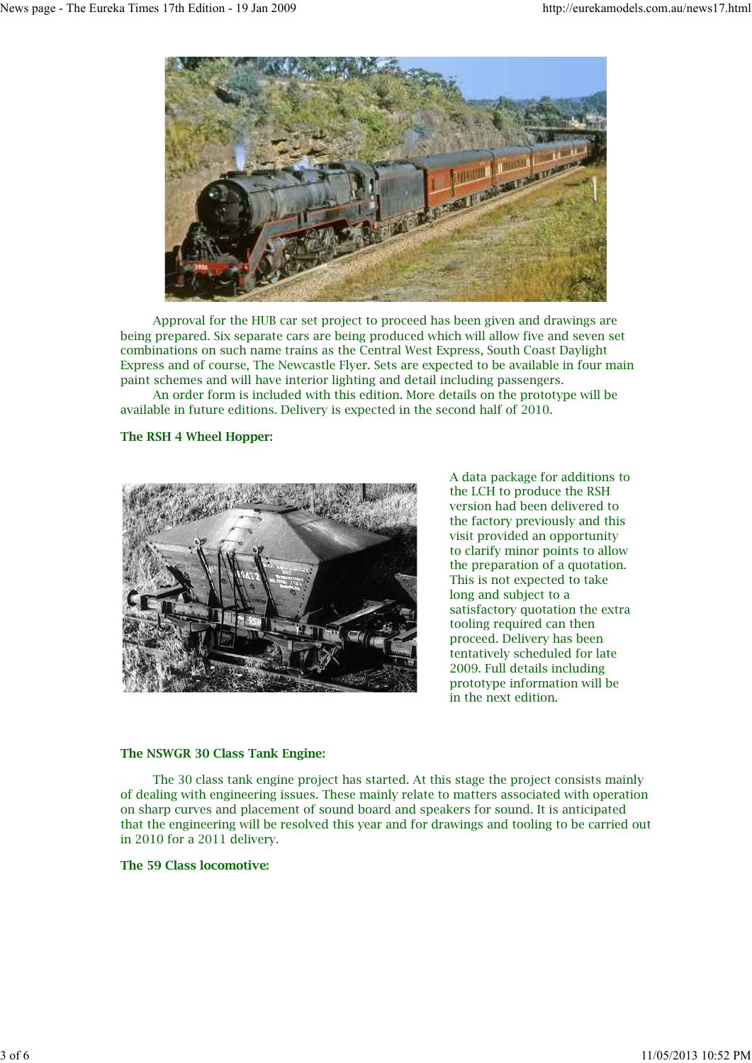

 Approval for the HUB car set project to proceed has been given and drawings are being prepared. Six separate cars are being produced which will allow five and seven set combinations on such name trains as the Central West Express, South Coast Daylight Express and of course, The Newcastle Flyer. Sets are expected to be available in four main paint schemes and will have interior lighting and detail including passengers.

 An order form is included with this edition. More details on the prototype will be available in future editions. Delivery is expected in the second half of 2010.

# **The RSH 4 Wheel Hopper:**



A data package for additions to the LCH to produce the RSH version had been delivered to the factory previously and this visit provided an opportunity to clarify minor points to allow the preparation of a quotation. This is not expected to take long and subject to a satisfactory quotation the extra tooling required can then proceed. Delivery has been tentatively scheduled for late 2009. Full details including prototype information will be in the next edition.

## **The NSWGR 30 Class Tank Engine:**

 The 30 class tank engine project has started. At this stage the project consists mainly of dealing with engineering issues. These mainly relate to matters associated with operation on sharp curves and placement of sound board and speakers for sound. It is anticipated that the engineering will be resolved this year and for drawings and tooling to be carried out in 2010 for a 2011 delivery.

## **The 59 Class locomotive:**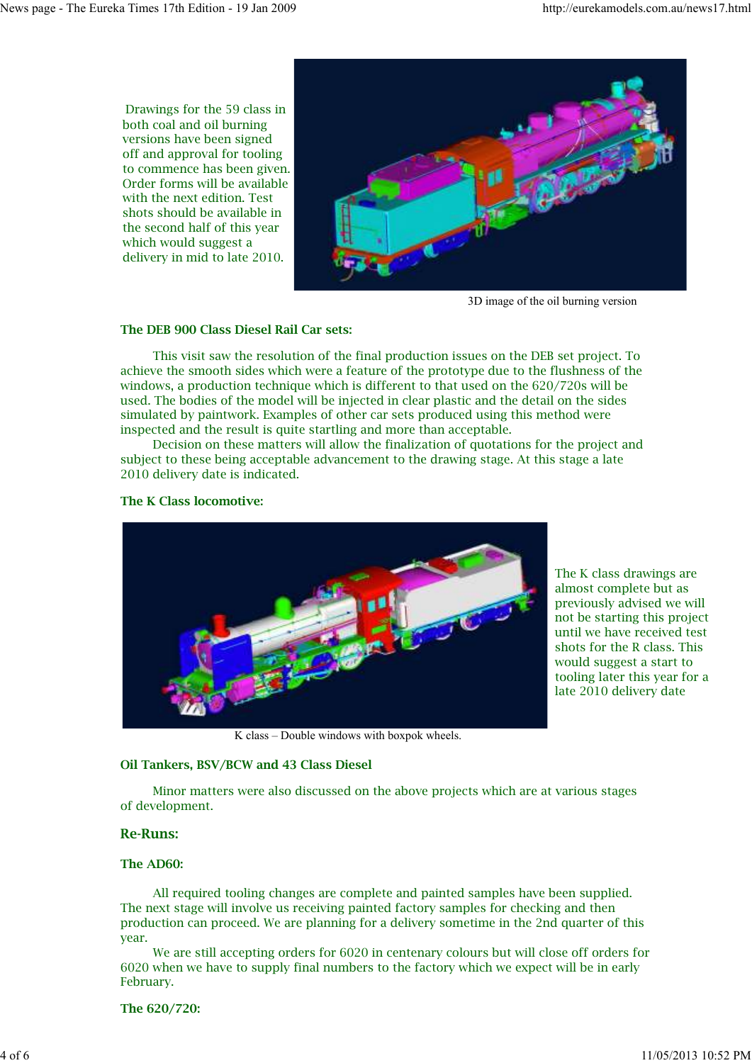Drawings for the 59 class in both coal and oil burning versions have been signed off and approval for tooling to commence has been given. Order forms will be available with the next edition. Test shots should be available in the second half of this year which would suggest a delivery in mid to late 2010.



3D image of the oil burning version

## **The DEB 900 Class Diesel Rail Car sets:**

 This visit saw the resolution of the final production issues on the DEB set project. To achieve the smooth sides which were a feature of the prototype due to the flushness of the windows, a production technique which is different to that used on the 620/720s will be used. The bodies of the model will be injected in clear plastic and the detail on the sides simulated by paintwork. Examples of other car sets produced using this method were inspected and the result is quite startling and more than acceptable.

 Decision on these matters will allow the finalization of quotations for the project and subject to these being acceptable advancement to the drawing stage. At this stage a late 2010 delivery date is indicated.

#### **The K Class locomotive:**



The K class drawings are almost complete but as previously advised we will not be starting this project until we have received test shots for the R class. This would suggest a start to tooling later this year for a late 2010 delivery date

K class – Double windows with boxpok wheels.

## **Oil Tankers, BSV/BCW and 43 Class Diesel**

 Minor matters were also discussed on the above projects which are at various stages of development.

## **Re-Runs:**

#### **The AD60:**

 All required tooling changes are complete and painted samples have been supplied. The next stage will involve us receiving painted factory samples for checking and then production can proceed. We are planning for a delivery sometime in the 2nd quarter of this year.

 We are still accepting orders for 6020 in centenary colours but will close off orders for 6020 when we have to supply final numbers to the factory which we expect will be in early February.

**The 620/720:**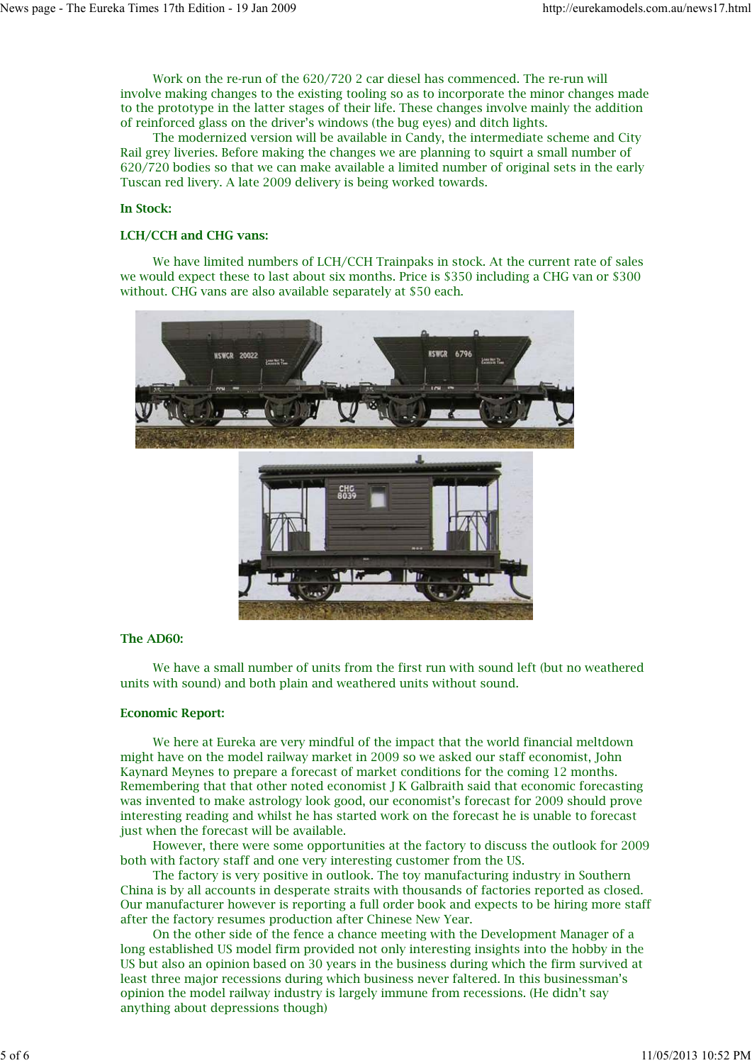Work on the re-run of the 620/720 2 car diesel has commenced. The re-run will involve making changes to the existing tooling so as to incorporate the minor changes made to the prototype in the latter stages of their life. These changes involve mainly the addition of reinforced glass on the driver's windows (the bug eyes) and ditch lights.

 The modernized version will be available in Candy, the intermediate scheme and City Rail grey liveries. Before making the changes we are planning to squirt a small number of 620/720 bodies so that we can make available a limited number of original sets in the early Tuscan red livery. A late 2009 delivery is being worked towards.

#### **In Stock:**

#### **LCH/CCH and CHG vans:**

 We have limited numbers of LCH/CCH Trainpaks in stock. At the current rate of sales we would expect these to last about six months. Price is \$350 including a CHG van or \$300 without. CHG vans are also available separately at \$50 each.



#### **The AD60:**

 We have a small number of units from the first run with sound left (but no weathered units with sound) and both plain and weathered units without sound.

#### **Economic Report:**

 We here at Eureka are very mindful of the impact that the world financial meltdown might have on the model railway market in 2009 so we asked our staff economist, John Kaynard Meynes to prepare a forecast of market conditions for the coming 12 months. Remembering that that other noted economist J K Galbraith said that economic forecasting was invented to make astrology look good, our economist's forecast for 2009 should prove interesting reading and whilst he has started work on the forecast he is unable to forecast just when the forecast will be available.

 However, there were some opportunities at the factory to discuss the outlook for 2009 both with factory staff and one very interesting customer from the US.

 The factory is very positive in outlook. The toy manufacturing industry in Southern China is by all accounts in desperate straits with thousands of factories reported as closed. Our manufacturer however is reporting a full order book and expects to be hiring more staff after the factory resumes production after Chinese New Year.

 On the other side of the fence a chance meeting with the Development Manager of a long established US model firm provided not only interesting insights into the hobby in the US but also an opinion based on 30 years in the business during which the firm survived at least three major recessions during which business never faltered. In this businessman's opinion the model railway industry is largely immune from recessions. (He didn't say anything about depressions though)